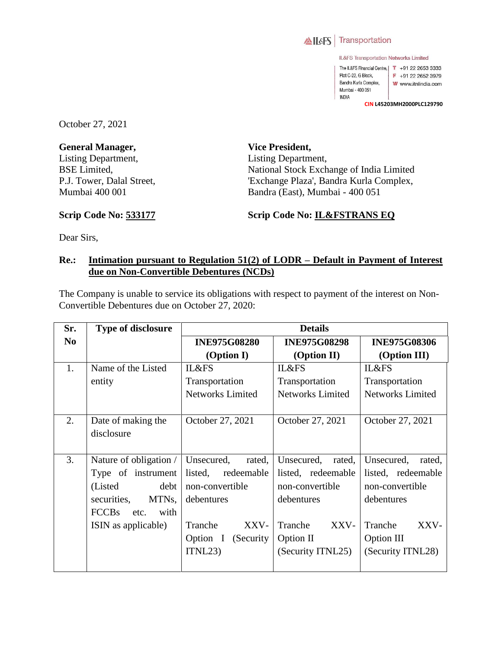

IL&FS Transportation Networks Limited

The IL&FS Financial Centre, | T +91 22 2653 3333 Plot C-22, G Block, F +91 22 2652 3979 Bandra Kurla Complex, W www.itnlindia.com Mumbai - 400 051 **INDIA** 

**CIN L45203MH2000PLC129790**

October 27, 2021

**General Manager,**  Listing Department, BSE Limited, P.J. Tower, Dalal Street, Mumbai 400 001

**Vice President,**  Listing Department, National Stock Exchange of India Limited 'Exchange Plaza', Bandra Kurla Complex, Bandra (East), Mumbai - 400 051

**Scrip Code No: 533177**

**Scrip Code No: IL&FSTRANS EQ**

Dear Sirs,

## **Re.: Intimation pursuant to Regulation 51(2) of LODR – Default in Payment of Interest due on Non-Convertible Debentures (NCDs)**

The Company is unable to service its obligations with respect to payment of the interest on Non-Convertible Debentures due on October 27, 2020:

| Sr.            | <b>Type of disclosure</b>    | <b>Details</b>          |                         |                         |
|----------------|------------------------------|-------------------------|-------------------------|-------------------------|
| N <sub>0</sub> |                              | <b>INE975G08280</b>     | <b>INE975G08298</b>     | <b>INE975G08306</b>     |
|                |                              | (Option I)              | (Option II)             | (Option III)            |
| 1.             | Name of the Listed           | IL&FS                   | IL&FS                   | <b>IL&amp;FS</b>        |
|                | entity                       | Transportation          | Transportation          | Transportation          |
|                |                              | <b>Networks Limited</b> | <b>Networks Limited</b> | <b>Networks Limited</b> |
|                |                              |                         |                         |                         |
| 2.             | Date of making the           | October 27, 2021        | October 27, 2021        | October 27, 2021        |
|                | disclosure                   |                         |                         |                         |
|                |                              |                         |                         |                         |
| 3.             | Nature of obligation /       | Unsecured,<br>rated,    | Unsecured,<br>rated,    | Unsecured,<br>rated,    |
|                | Type of instrument           | listed, redeemable      | listed, redeemable      | listed, redeemable      |
|                | (Listed)<br>debt             | non-convertible         | non-convertible         | non-convertible         |
|                | MTNs,<br>securities,         | debentures              | debentures              | debentures              |
|                | <b>FCCBs</b><br>with<br>etc. |                         |                         |                         |
|                | ISIN as applicable)          | Tranche<br>XXV-         | Tranche<br>XXV-         | XXV-<br>Tranche         |
|                |                              | Option I (Security      | Option II               | Option III              |
|                |                              | ITNL23                  | (Security ITNL25)       | (Security ITNL28)       |
|                |                              |                         |                         |                         |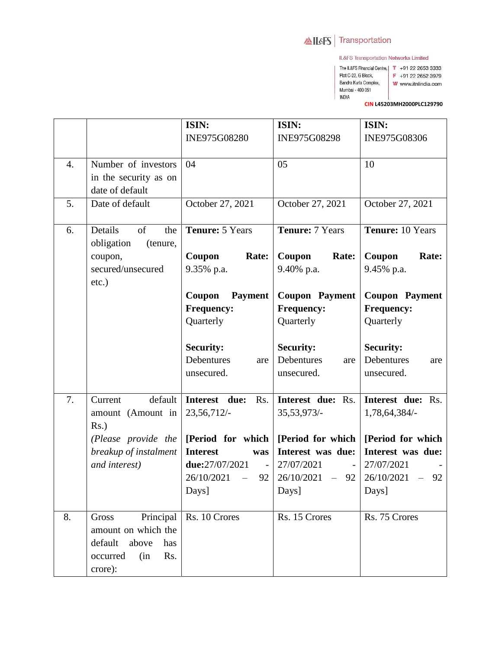## AILAFS Transportation

Plot C-22, G Block,

Mumbai - 400 051 **INDIA** 

Bandra Kurla Complex,

IL&FS Transportation Networks Limited

The IL&FS Financial Centre, | T +91 22 2653 3333

F +91 22 2652 3979

- W www.itnlindia.com
	-

CIN L45203MH2000PLC129790

|                  |                                                                                                           | ISIN:                                                                                                                       | ISIN:                                                                                 | ISIN:                                                                                                          |
|------------------|-----------------------------------------------------------------------------------------------------------|-----------------------------------------------------------------------------------------------------------------------------|---------------------------------------------------------------------------------------|----------------------------------------------------------------------------------------------------------------|
|                  |                                                                                                           | INE975G08280                                                                                                                | INE975G08298                                                                          | INE975G08306                                                                                                   |
| $\overline{4}$ . | Number of investors<br>in the security as on<br>date of default                                           | 04                                                                                                                          | 05                                                                                    | 10                                                                                                             |
| 5.               | Date of default                                                                                           | October 27, 2021                                                                                                            | October 27, 2021                                                                      | October 27, 2021                                                                                               |
| 6.               | Details<br>of<br>the<br>obligation<br>(tenure,                                                            | Tenure: 5 Years                                                                                                             | <b>Tenure: 7 Years</b>                                                                | Tenure: 10 Years                                                                                               |
|                  | coupon,<br>secured/unsecured<br>etc.)                                                                     | Coupon<br>Rate:<br>9.35% p.a.                                                                                               | Coupon<br>Rate:<br>9.40% p.a.                                                         | Coupon<br>Rate:<br>9.45% p.a.                                                                                  |
|                  |                                                                                                           | Coupon<br><b>Payment</b><br><b>Frequency:</b><br>Quarterly                                                                  | <b>Coupon Payment</b><br><b>Frequency:</b><br>Quarterly                               | <b>Coupon Payment</b><br><b>Frequency:</b><br>Quarterly                                                        |
|                  |                                                                                                           | <b>Security:</b><br>Debentures<br>are<br>unsecured.                                                                         | <b>Security:</b><br>Debentures<br>are<br>unsecured.                                   | <b>Security:</b><br>Debentures<br>are<br>unsecured.                                                            |
| 7.               | default<br>Current<br>amount (Amount in<br>$Rs.$ )                                                        | Interest due:<br>Rs.<br>23,56,712/-                                                                                         | Interest due: Rs.<br>35, 53, 973/-                                                    | Interest due: Rs.<br>1,78,64,384/-                                                                             |
|                  | (Please provide the<br>breakup of instalment<br>and interest)                                             | [Period for which  <br><b>Interest</b><br>was<br>due:27/07/2021<br>$\sim 100$<br>26/10/2021<br>92<br>$\frac{1}{2}$<br>Days] | [Period for which]<br>Interest was due:<br>27/07/2021<br>26/10/2021<br>$-92$<br>Days] | [Period for which]<br>Interest was due:<br>27/07/2021<br>26/10/2021<br>92<br>$\overline{\phantom{0}}$<br>Days] |
| 8.               | Principal<br>Gross<br>amount on which the<br>default<br>above<br>has<br>occurred<br>Rs.<br>(in<br>crore): | Rs. 10 Crores                                                                                                               | Rs. 15 Crores                                                                         | Rs. 75 Crores                                                                                                  |